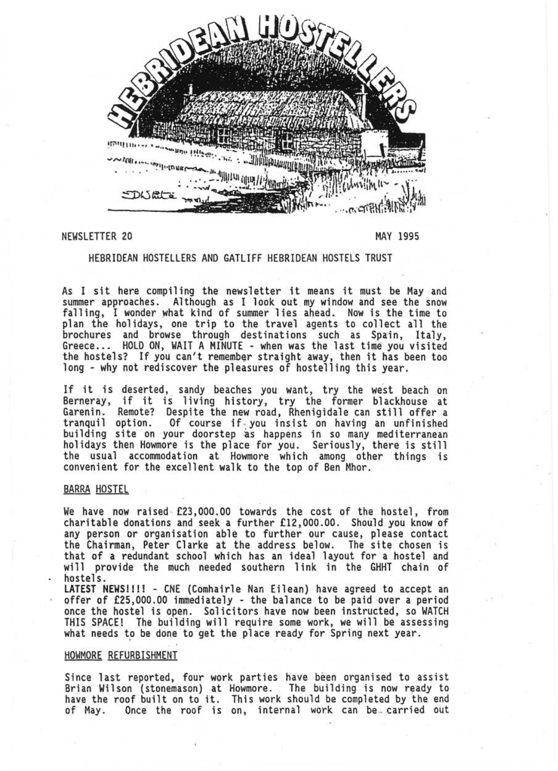

# NEWSLETTER 20 MAY 1995

#### HEBRIOEAN HOSTELLERS AND GATLIFF HEBRIOEAN HOSTELS TRUST

As I sit here compiling the newsletter it means it must be May and summer approaches. Although as I look out my window and see the snow falling, I wonder what kind of summer lies ahead. Now is the time to plan the holidays, one trip to the travel agents to collect all the brochures and browse through destinations such as Spain, Italy,<br>Greece... HOLD ON, WAIT A MINUTE - when was the last time you visited the hostels? If you can't remember straight away, then it has been too long - why not rediscover the pleasures of hoste11ing this year.

If it is deserted, sandy beaches you want, try the west beach on Berneray, if it is living history, try the former blackhouse at Garenin. Remote? Despite the new road, Rhenigidale can still offer a tranquil option. Of course if· you insist on having an unfinished building site on your doorstep as happens in so many mediterranean holidays then Howmore is the place for you. Seriously, there is still the usual accommodation at Howmore which among other things is convenient for the excellent walk to the top of Ben Mhor.

### **BARRA HOSTEL**

We have now raised £23,000.00 towards the cost of the hostel, from charitable donations and seek a further £12,000.00. Should you know of any person or organisation able to further our cause, please contact the Chairman, Peter Clarke at the address below. The site chosen is that of a redundant school which has an ideal layout for a hostel and will provide the much needed southern link in the GHHT chain of hostels.

LATEST NEWS!!!! - CNE (Comhairle Nan Eilean) have agreed to accept an offer of £25,000 .00 immediately - the balance to be paid over a period once the hostel is open. Solicitors have now been instructed, so WATCH THIS SPACE! The building will require some work, we will be assessing<br>what needs to be done to get the place ready for Spring next year.

## HOWMORE REFURBISHMENT

Since last reported, four work parties have been organised to assist Brian Wilson (stonemason) at Howmore. The building is now ready to have the roof built on to it. This work should be completed by the end of May. Once the roof is on, internal work can be carried out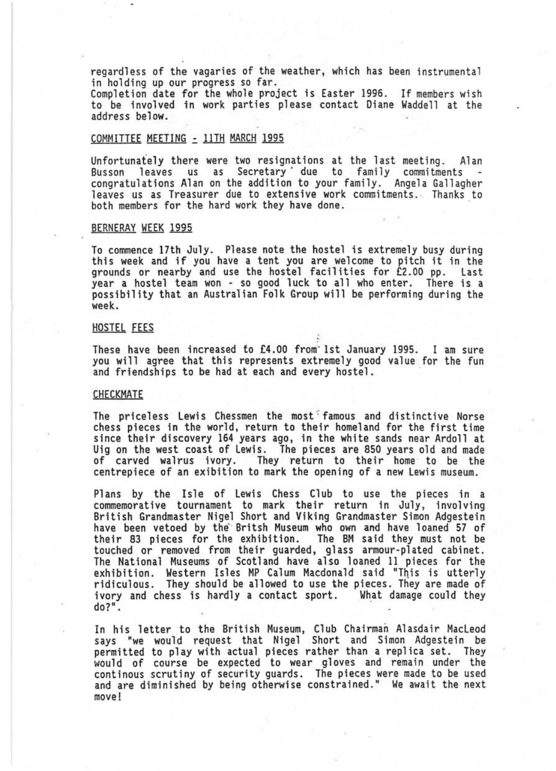regardless of the vagaries of the weather, which has been instrumental in holding up our progress so far.

Completion date for the whole project is Easter 1996. If members wish to be involved in work parties please contact Diane Waddell at the address below.

# COMMITTEE MEETING ~ 11TH MARCH 1995

Vnfortunafely there were two resignations at the last meeting . Alan Busson leaves us as Secretary due to family commitments -<br>Congratulations Alan on the addition to your family. Angela Gallagher leaves us as Treasurer due to extensive work commitments. Thanks to both members for the hard work they have done.

#### BERNERAY WEEK 1995

To commence 17th July. Please note the hostel is extremely busy during this week and if you have a tent you are welcome to pitch it in the grounds or nearby and use the hostel facil ities for £2 .00 pp. Last year a hostel team won - so good luck to all who enter. There is a possibi lity that an Australian Folk Group will be performing during the week .

## HOSTEL FEES

These have been increased *to* £4 .00 from' 1st January 1995. I am sure you will agree that this represents extremely good value for the fun and friendships to be had at each and every hostel.

### CHECKMATE

The priceless Lewis Chessmen the most famous and distinctive Norse chess pieces in the world, return to their homeland for the first time since their discovery 164 years ago, in the white sands near Ardoll at Vig on the west coast of Lewis . The pieces are 850 years old and made of carved walrus ivory. They return to their home to be the centrepiece of an exibition to mark the opening of a new Lewis museum.

Plans by the Isle of Lewis Chess Club to use the pieces in a<br>commemorative tournament to mark their return in July, involving British Grandmaster Nigel Short and Viking Grandmaster Simon Adgestein<br>have been vetoed by the Britsh Museum who own and have loaned 57 of the ir 83 pieces for the exh ibition. The BM said they must not be touched or removed from their guarded, glass armour-plated cabinet. The National Museums of Scotland have also loaned 11 pieces for the<br>exhibition. Western Isles MP Calum Macdonald said "This is utterly ridiculous. They should be allowed to use the pieces. They are made of ivory and chess is hardly a contact sport. What damage could they<br>do?".

In his letter to the British Museum, Club Chairman Alasdair Macleod says "we would request that Nigel Short and Simon Adgestein be permitted to play with actual pieces rather than a replica set . They would of course be expected to wear gloves and remain under the continous scrutiny of security guards. The pieces were made to be used and are diminished by being otherwise constrained." We await the next move!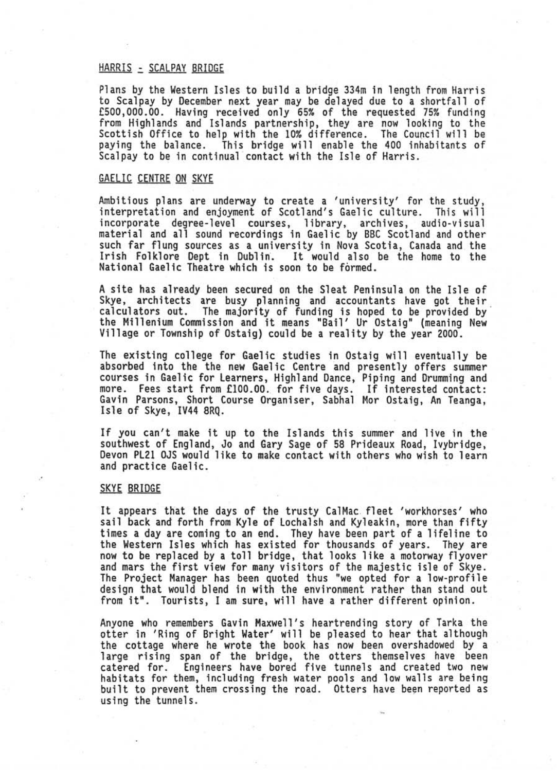### HARRIS - SCALPAY BRIDGE

Plans by the Western Isles to build a bridge 334m in length from Harris to Scalpay by December next year may be delayed due to a shortfall of £500,000.00. Having received only 65% of the requested 75% funding from Highlands and Islands partnership, they are now looking to the Scottish Office to help with the 10% difference. The Council will be paying the balance. This bridge will enable the 400 inhabitants of Scalpay to be in continual contact with the Isle of Harris.

#### GAELIC CENTRE ON SKYE

Ambitious plans are underway to create a 'university' for the study, interpretation and enjoyment of Scotland's Gaelic culture. This will incorporate degree-level courses, library, archives, audio-visual material and all sound recordings in Gael ic by BBC Scotland and other such far flung sources as a university in Nova Scotia, Canada and the Irish Folklore Dept in Dublin. It would also be the home to the National Gaelic Theatre which is soon to be formed.

A site has already been secured on the Sleat Peninsula on the Isle of Skye, architects are busy planning and accountants have got their calculators out. The majority of funding is hoped to be provided by ' the Millenium Commission and it means "Bail' Ur Ostaig" (meaning New Village or Township of Ostaig) could be a reality by the year 2000.

The existing college for Gaelic studies in Ostaig will eventually be absorbed into the the new Gaelic Centre and presently offers summer courses in Gaelic for Learners, Highland Dance, Piping and Drumming and<br>more. Fees start from £100.00. for five days. If interested contact: Gavin Parsons, Short Course Organiser, Sabhal Mor Ostaig, An Teanga, Isle of Skye, IV44 8RQ .

If you can't make it up to the Islands this summer and live in the southwest of England, Jo and Gary Sage of 58 Prideaux Road, Ivybridge, Devon PL21 OJS would like to make contact with others who wish to learn and practice Gaelic.

### **SKYE BRIDGE**

It appears that the days of the trusty CalMac fleet 'workhorses' who sail back and forth from Kyle of Lochalsh and Kyleakin, more than fifty times a day are coming to an end. They have been part of a lifeline to<br>the Western Isles which has existed for thousands of years. They are now to be replaced by a toll bridge, that looks like a motorway flyover and mars the first view for many visitors of the majestic isle of Skye. The Project Manager has been quoted thus "we opted for a low-profile design that would blend in with the environment rather than stand out from it". Tourists, I am sure, will have a rather different opinion.

Anyone who remembers Gavin Maxwell's heartrending story of Tarka the otter in 'Ring of Bright Water' will be pleased to hear that although the cottage where he wrote the book has now been overshadowed by a<br>1arge rising span of the bridge, the otters themselves have been catered for. Engineers have bored five tunnels and created two new<br>habitats for them, including fresh water pools and low walls are being habitats for them, including fresh water pools and low walls are being built to prevent them crossing the road. Otters have been reported as using the tunnels.